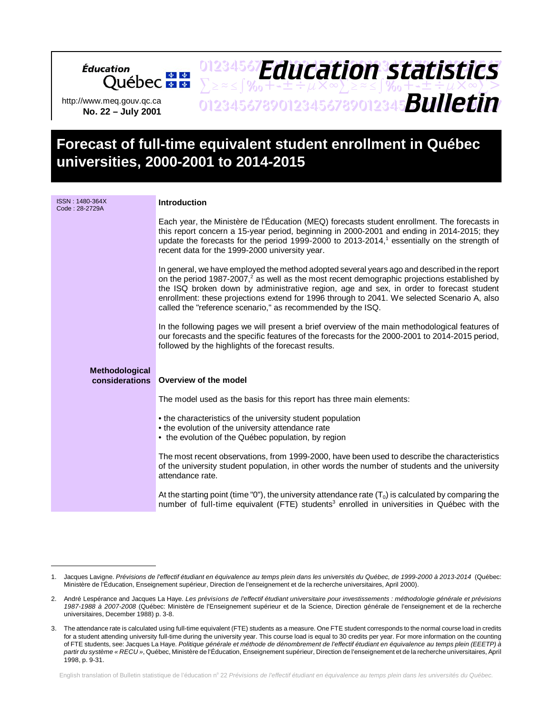http://www.meq.gouv.qc.ca **No. 22 – July 2001**

cation<br>Québec **\*** \*

Éducation

# **Forecast of full-time equivalent student enrollment in Québec universities, 2000-2001 to 2014-2015**

01234567**Fduration cratictice** 

*Education statistics*

 $\sum z \approx \int \gamma_0 + 1 \pm \div \mu \times \infty$  $\sum z \approx \int \gamma_0 + 1 \pm \div \mu \times \infty$  $>$ 

01234567890123456789012345678901234567 *Bulletin*

| ISSN: 1480-364X<br>Code: 28-2729A | Introduction                                                                                                                                                                                                                                                                                                                                                                                                                                                      |
|-----------------------------------|-------------------------------------------------------------------------------------------------------------------------------------------------------------------------------------------------------------------------------------------------------------------------------------------------------------------------------------------------------------------------------------------------------------------------------------------------------------------|
|                                   | Each year, the Ministère de l'Éducation (MEQ) forecasts student enrollment. The forecasts in<br>this report concern a 15-year period, beginning in 2000-2001 and ending in 2014-2015; they<br>update the forecasts for the period 1999-2000 to 2013-2014, <sup>1</sup> essentially on the strength of<br>recent data for the 1999-2000 university year.                                                                                                           |
|                                   | In general, we have employed the method adopted several years ago and described in the report<br>on the period 1987-2007, <sup>2</sup> as well as the most recent demographic projections established by<br>the ISQ broken down by administrative region, age and sex, in order to forecast student<br>enrollment: these projections extend for 1996 through to 2041. We selected Scenario A, also<br>called the "reference scenario," as recommended by the ISQ. |
|                                   | In the following pages we will present a brief overview of the main methodological features of<br>our forecasts and the specific features of the forecasts for the 2000-2001 to 2014-2015 period,<br>followed by the highlights of the forecast results.                                                                                                                                                                                                          |
| Methodological<br>considerations  | Overview of the model                                                                                                                                                                                                                                                                                                                                                                                                                                             |
|                                   | The model used as the basis for this report has three main elements:                                                                                                                                                                                                                                                                                                                                                                                              |
|                                   | • the characteristics of the university student population<br>• the evolution of the university attendance rate<br>• the evolution of the Québec population, by region                                                                                                                                                                                                                                                                                            |
|                                   | The most recent observations, from 1999-2000, have been used to describe the characteristics<br>of the university student population, in other words the number of students and the university<br>attendance rate.                                                                                                                                                                                                                                                |
|                                   | At the starting point (time "0"), the university attendance rate $(T_0)$ is calculated by comparing the<br>number of full-time equivalent (FTE) students <sup>3</sup> enrolled in universities in Québec with the                                                                                                                                                                                                                                                 |

English translation of Bulletin statistique de l'éducation nº 22 Prévisions de l'effectif étudiant en équivalence au temps plein dans les universités du Québec.

<sup>1.</sup> Jacques Lavigne. Prévisions de l'effectif étudiant en équivalence au temps plein dans les universités du Québec, de 1999-2000 à 2013-2014 (Québec: Ministère de l'Éducation, Enseignement supérieur, Direction de l'enseignement et de la recherche universitaires, April 2000).

<sup>2.</sup> André Lespérance and Jacques La Haye. Les prévisions de l'effectif étudiant universitaire pour investissements : méthodologie générale et prévisions 1987-1988 à 2007-2008 (Québec: Ministère de l'Enseignement supérieur et de la Science, Direction générale de l'enseignement et de la recherche universitaires, December 1988) p. 3-8.

<sup>3.</sup> The attendance rate is calculated using full-time equivalent (FTE) students as a measure. One FTE student corresponds to the normal course load in credits for a student attending university full-time during the university year. This course load is equal to 30 credits per year. For more information on the counting of FTE students, see: Jacques La Haye. Politique générale et méthode de dénombrement de l'effectif étudiant en équivalence au temps plein (EEETP) à partir du système « RECU », Québec, Ministère de l'Éducation, Enseignement supérieur, Direction de l'enseignement et de la recherche universitaires, April 1998, p. 9-31.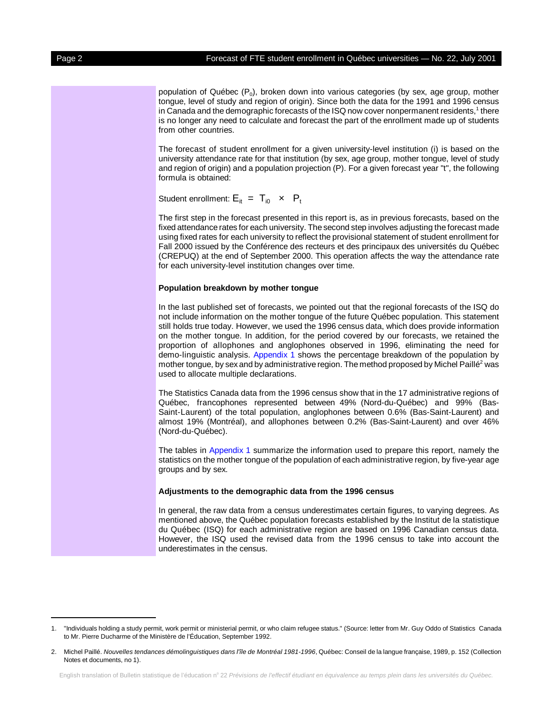population of Québec  $(P_0)$ , broken down into various categories (by sex, age group, mother tongue, level of study and region of origin). Since both the data for the 1991 and 1996 census in Canada and the demographic forecasts of the ISQ now cover nonpermanent residents,<sup>1</sup> there is no longer any need to calculate and forecast the part of the enrollment made up of students from other countries.

The forecast of student enrollment for a given university-level institution (i) is based on the university attendance rate for that institution (by sex, age group, mother tongue, level of study and region of origin) and a population projection (P). For a given forecast year "t", the following formula is obtained:

Student enrollment:  $E_{it} = T_{i0} \times P_{t}$ 

The first step in the forecast presented in this report is, as in previous forecasts, based on the fixed attendance rates for each university. The second step involves adjusting the forecast made using fixed rates for each university to reflect the provisional statement of student enrollment for Fall 2000 issued by the Conférence des recteurs et des principaux des universités du Québec (CREPUQ) at the end of September 2000. This operation affects the way the attendance rate for each university-level institution changes over time.

### **Population breakdown by mother tongue**

In the last published set of forecasts, we pointed out that the regional forecasts of the ISQ do not include information on the mother tongue of the future Québec population. This statement still holds true today. However, we used the 1996 census data, which does provide information on the mother tongue. In addition, for the period covered by our forecasts, we retained the proportion of allophones and anglophones observed in 1996, eliminating the need for demo-linguistic analysis. [Appendix 1 s](#page-8-0)hows the percentage breakdown of the population by mother tongue, by sex and by administrative region. The method proposed by Michel Paillé<sup>2</sup> was used to allocate multiple declarations.

The Statistics Canada data from the 1996 census show that in the 17 administrative regions of Québec, francophones represented between 49% (Nord-du-Québec) and 99% (Bas-Saint-Laurent) of the total population, anglophones between 0.6% (Bas-Saint-Laurent) and almost 19% (Montréal), and allophones between 0.2% (Bas-Saint-Laurent) and over 46% (Nord-du-Québec).

The tables in [Appendix 1](#page-8-0) summarize the information used to prepare this report, namely the statistics on the mother tongue of the population of each administrative region, by five-year age groups and by sex.

### **Adjustments to the demographic data from the 1996 census**

In general, the raw data from a census underestimates certain figures, to varying degrees. As mentioned above, the Québec population forecasts established by the Institut de la statistique du Québec (ISQ) for each administrative region are based on 1996 Canadian census data. However, the ISQ used the revised data from the 1996 census to take into account the underestimates in the census.

<sup>1. &</sup>quot;Individuals holding a study permit, work permit or ministerial permit, or who claim refugee status." (Source: letter from Mr. Guy Oddo of Statistics Canada to Mr. Pierre Ducharme of the Ministère de l'Éducation, September 1992.

<sup>2.</sup> Michel Paillé. Nouvelles tendances démolinguistiques dans l'île de Montréal 1981-1996, Québec: Conseil de la langue française, 1989, p. 152 (Collection Notes et documents, no 1).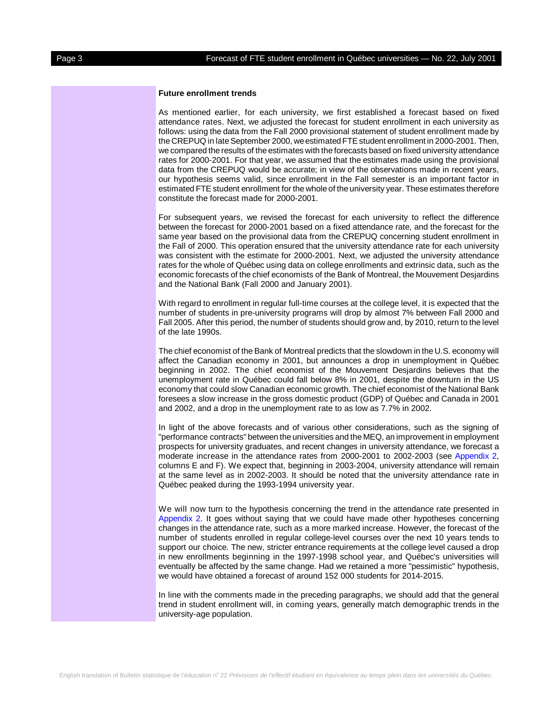### **Future enrollment trends**

As mentioned earlier, for each university, we first established a forecast based on fixed attendance rates. Next, we adjusted the forecast for student enrollment in each university as follows: using the data from the Fall 2000 provisional statement of student enrollment made by the CREPUQ in late September 2000, we estimated FTE student enrollment in 2000-2001. Then, we compared the results of the estimates with the forecasts based on fixed university attendance rates for 2000-2001. For that year, we assumed that the estimates made using the provisional data from the CREPUQ would be accurate; in view of the observations made in recent years, our hypothesis seems valid, since enrollment in the Fall semester is an important factor in estimated FTE student enrollment for the whole of the university year. These estimates therefore constitute the forecast made for 2000-2001.

For subsequent years, we revised the forecast for each university to reflect the difference between the forecast for 2000-2001 based on a fixed attendance rate, and the forecast for the same year based on the provisional data from the CREPUQ concerning student enrollment in the Fall of 2000. This operation ensured that the university attendance rate for each university was consistent with the estimate for 2000-2001. Next, we adjusted the university attendance rates for the whole of Québec using data on college enrollments and extrinsic data, such as the economic forecasts of the chief economists of the Bank of Montreal, the Mouvement Desjardins and the National Bank (Fall 2000 and January 2001).

With regard to enrollment in regular full-time courses at the college level, it is expected that the number of students in pre-university programs will drop by almost 7% between Fall 2000 and Fall 2005. After this period, the number of students should grow and, by 2010, return to the level of the late 1990s.

The chief economist of the Bank of Montreal predicts that the slowdown in the U.S. economy will affect the Canadian economy in 2001, but announces a drop in unemployment in Québec beginning in 2002. The chief economist of the Mouvement Desjardins believes that the unemployment rate in Québec could fall below 8% in 2001, despite the downturn in the US economy that could slow Canadian economic growth. The chief economist of the National Bank foresees a slow increase in the gross domestic product (GDP) of Québec and Canada in 2001 and 2002, and a drop in the unemployment rate to as low as 7.7% in 2002.

In light of the above forecasts and of various other considerations, such as the signing of "performance contracts" between the universities and the MEQ, an improvement in employment prospects for university graduates, and recent changes in university attendance, we forecast a moderate increase in the attendance rates from 2000-2001 to 2002-2003 (see [Appendix 2,](#page-9-0) columns E and F). We expect that, beginning in 2003-2004, university attendance will remain at the same level as in 2002-2003. It should be noted that the university attendance rate in Québec peaked during the 1993-1994 university year.

We will now turn to the hypothesis concerning the trend in the attendance rate presented in [Appendix 2.](#page-9-0) It goes without saying that we could have made other hypotheses concerning changes in the attendance rate, such as a more marked increase. However, the forecast of the number of students enrolled in regular college-level courses over the next 10 years tends to support our choice. The new, stricter entrance requirements at the college level caused a drop in new enrollments beginning in the 1997-1998 school year, and Québec's universities will eventually be affected by the same change. Had we retained a more "pessimistic" hypothesis, we would have obtained a forecast of around 152 000 students for 2014-2015.

In line with the comments made in the preceding paragraphs, we should add that the general trend in student enrollment will, in coming years, generally match demographic trends in the university-age population.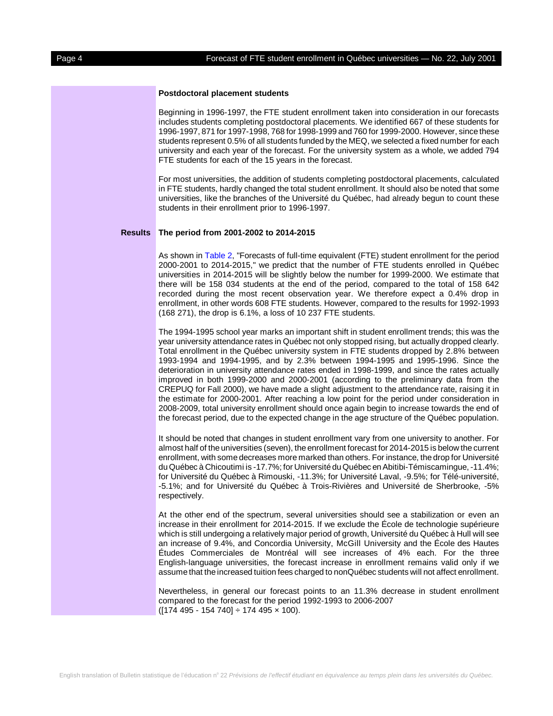# **Postdoctoral placement students**

Beginning in 1996-1997, the FTE student enrollment taken into consideration in our forecasts includes students completing postdoctoral placements. We identified 667 of these students for 1996-1997, 871 for 1997-1998, 768 for 1998-1999 and 760 for 1999-2000. However, since these students represent 0.5% of all students funded by the MEQ, we selected a fixed number for each university and each year of the forecast. For the university system as a whole, we added 794 FTE students for each of the 15 years in the forecast.

For most universities, the addition of students completing postdoctoral placements, calculated in FTE students, hardly changed the total student enrollment. It should also be noted that some universities, like the branches of the Université du Québec, had already begun to count these students in their enrollment prior to 1996-1997.

### **Results The period from 2001-2002 to 2014-2015**

As shown i[n Table 2,](#page-5-0) "Forecasts of full-time equivalent (FTE) student enrollment for the period 2000-2001 to 2014-2015," we predict that the number of FTE students enrolled in Québec universities in 2014-2015 will be slightly below the number for 1999-2000. We estimate that there will be 158 034 students at the end of the period, compared to the total of 158 642 recorded during the most recent observation year. We therefore expect a 0.4% drop in enrollment, in other words 608 FTE students. However, compared to the results for 1992-1993 (168 271), the drop is 6.1%, a loss of 10 237 FTE students.

The 1994-1995 school year marks an important shift in student enrollment trends; this was the year university attendance rates in Québec not only stopped rising, but actually dropped clearly. Total enrollment in the Québec university system in FTE students dropped by 2.8% between 1993-1994 and 1994-1995, and by 2.3% between 1994-1995 and 1995-1996. Since the deterioration in university attendance rates ended in 1998-1999, and since the rates actually improved in both 1999-2000 and 2000-2001 (according to the preliminary data from the CREPUQ for Fall 2000), we have made a slight adjustment to the attendance rate, raising it in the estimate for 2000-2001. After reaching a low point for the period under consideration in 2008-2009, total university enrollment should once again begin to increase towards the end of the forecast period, due to the expected change in the age structure of the Québec population.

It should be noted that changes in student enrollment vary from one university to another. For almost half of the universities (seven), the enrollment forecast for 2014-2015 is below the current enrollment, with some decreases more marked than others. For instance, the drop for Université du Québec à Chicoutimi is -17.7%; for Université du Québec en Abitibi-Témiscamingue, -11.4%; for Université du Québec à Rimouski, -11.3%; for Université Laval, -9.5%; for Télé-université, -5.1%; and for Université du Québec à Trois-Rivières and Université de Sherbrooke, -5% respectively.

At the other end of the spectrum, several universities should see a stabilization or even an increase in their enrollment for 2014-2015. If we exclude the École de technologie supérieure which is still undergoing a relatively major period of growth, Université du Québec à Hull will see an increase of 9.4%, and Concordia University, McGill University and the École des Hautes Études Commerciales de Montréal will see increases of 4% each. For the three English-language universities, the forecast increase in enrollment remains valid only if we assume that the increased tuition fees charged to nonQuébec students will not affect enrollment.

Nevertheless, in general our forecast points to an 11.3% decrease in student enrollment compared to the forecast for the period 1992-1993 to 2006-2007  $([174 495 - 154 740] \div 174 495 \times 100).$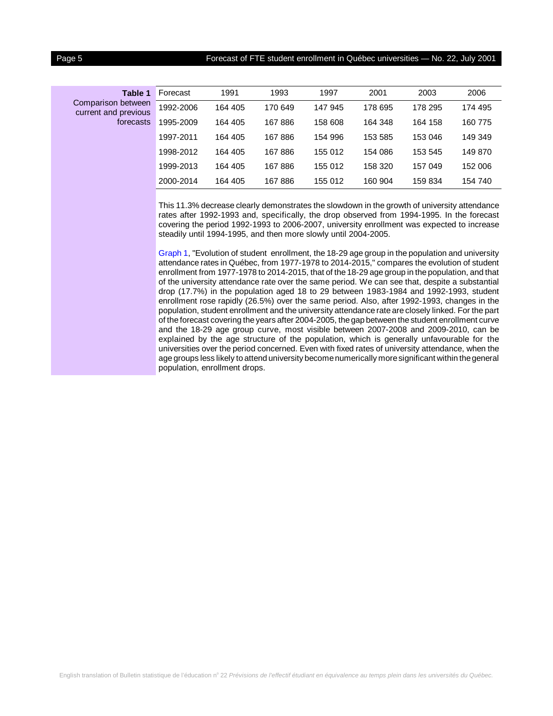# Page 5 **Forecast of FTE student enrollment in Québec universities — No. 22, July 2001**

| Table 1                                                 | Forecast  | 1991    | 1993    | 1997    | 2001    | 2003    | 2006    |
|---------------------------------------------------------|-----------|---------|---------|---------|---------|---------|---------|
| Comparison between<br>current and previous<br>forecasts | 1992-2006 | 164 405 | 170 649 | 147 945 | 178 695 | 178 295 | 174 495 |
|                                                         | 1995-2009 | 164 405 | 167886  | 158 608 | 164 348 | 164 158 | 160 775 |
|                                                         | 1997-2011 | 164 405 | 167886  | 154 996 | 153 585 | 153 046 | 149 349 |
|                                                         | 1998-2012 | 164 405 | 167886  | 155 012 | 154 086 | 153 545 | 149 870 |
|                                                         | 1999-2013 | 164 405 | 167886  | 155 012 | 158 320 | 157 049 | 152 006 |
|                                                         | 2000-2014 | 164 405 | 167886  | 155 012 | 160 904 | 159 834 | 154 740 |

This 11.3% decrease clearly demonstrates the slowdown in the growth of university attendance rates after 1992-1993 and, specifically, the drop observed from 1994-1995. In the forecast covering the period 1992-1993 to 2006-2007, university enrollment was expected to increase steadily until 1994-1995, and then more slowly until 2004-2005.

[Graph 1,](#page-6-0) "Evolution of student enrollment, the 18-29 age group in the population and university attendance rates in Québec, from 1977-1978 to 2014-2015," compares the evolution of student enrollment from 1977-1978 to 2014-2015, that of the 18-29 age group in the population, and that of the university attendance rate over the same period. We can see that, despite a substantial drop (17.7%) in the population aged 18 to 29 between 1983-1984 and 1992-1993, student enrollment rose rapidly (26.5%) over the same period. Also, after 1992-1993, changes in the population, student enrollment and the university attendance rate are closely linked. For the part of the forecast covering the years after 2004-2005, the gap between the student enrollment curve and the 18-29 age group curve, most visible between 2007-2008 and 2009-2010, can be explained by the age structure of the population, which is generally unfavourable for the universities over the period concerned. Even with fixed rates of university attendance, when the age groups less likely to attend university become numerically more significant within the general population, enrollment drops.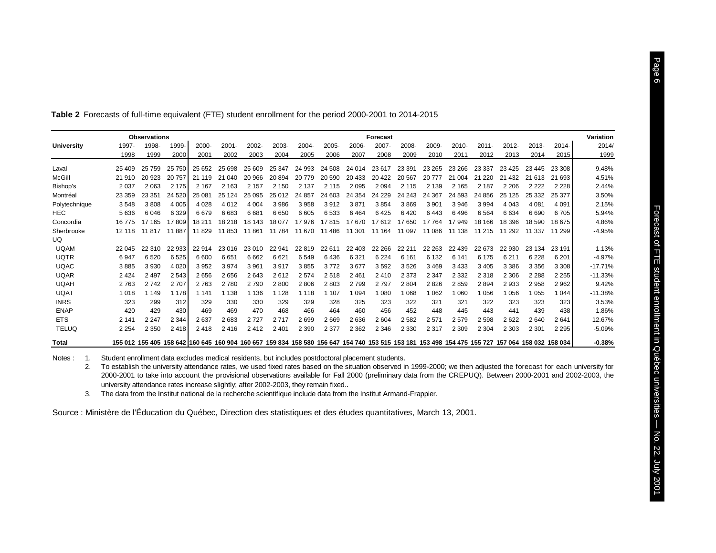|               |         | <b>Observations</b> |         |                                                                                                                                                 |          |         |         |         |         |         | <b>Forecast</b> |         |         |         |          |          |         |          | Variation |
|---------------|---------|---------------------|---------|-------------------------------------------------------------------------------------------------------------------------------------------------|----------|---------|---------|---------|---------|---------|-----------------|---------|---------|---------|----------|----------|---------|----------|-----------|
| University    | 1997-   | 1998-               | 1999-   | 2000-                                                                                                                                           | $2001 -$ | 2002-   | 2003-   | 2004-   | 2005-   | 2006-   | 2007-           | 2008-   | 2009-   | 2010-   | $2011 -$ | $2012 -$ | 2013-   | $2014 -$ | 2014/     |
|               | 1998    | 1999                | 2000    | 2001                                                                                                                                            | 2002     | 2003    | 2004    | 2005    | 2006    | 2007    | 2008            | 2009    | 2010    | 2011    | 2012     | 2013     | 2014    | 2015     | 1999      |
| Laval         | 25 409  | 25 7 5 9            | 25 750  | 25 652                                                                                                                                          | 25 698   | 25 609  | 25 347  | 24 993  | 24 508  | 24 014  | 23617           | 23 391  | 23 265  | 23 266  | 23 337   | 23 4 25  | 23 445  | 23 308   | $-9.48%$  |
| McGill        | 21 910  | 20 923              | 20757   | 21 119                                                                                                                                          | 21 040   | 20 966  | 20894   | 20 779  | 20 590  | 20 433  | 20 4 22         | 20 567  | 20 777  | 21 004  | 220      | 21 4 3 2 | 21 613  | 21 693   | 4.51%     |
|               |         |                     |         |                                                                                                                                                 |          |         |         |         |         |         |                 |         |         |         |          |          |         |          |           |
| Bishop's      | 2 0 3 7 | 2 0 6 3             | 2 1 7 5 | 2 1 6 7                                                                                                                                         | 2 1 6 3  | 2 1 5 7 | 2 1 5 0 | 2 1 3 7 | 2 1 1 5 | 2 0 9 5 | 2094            | 2 1 1 5 | 2 1 3 9 | 2 1 6 5 | 2 1 8 7  | 2 2 0 6  | 2 2 2 2 | 2 2 2 8  | 2.44%     |
| Montréal      | 23 359  | 23 351              | 24 5 20 | 25 081                                                                                                                                          | 25 1 24  | 25 095  | 25 012  | 24 857  | 24 603  | 24 354  | 24 229          | 24 24 3 | 24 367  | 24 593  | 24 856   | 25 1 25  | 25 332  | 25 377   | 3.50%     |
| Polytechnique | 3548    | 3808                | 4 0 0 5 | 4 0 28                                                                                                                                          | 4 0 1 2  | 4 0 0 4 | 3986    | 3958    | 3912    | 3871    | 3854            | 3869    | 3 9 0 1 | 3 9 4 6 | 3994     | 4 0 4 3  | 4 0 8 1 | 4 0 9 1  | 2.15%     |
| HEC           | 5 6 3 6 | 6046                | 6 3 2 9 | 6679                                                                                                                                            | 6683     | 6681    | 6650    | 6605    | 6533    | 6464    | 6425            | 6420    | 6443    | 6496    | 6564     | 6634     | 6690    | 6705     | 5.94%     |
| Concordia     | 16 775  | 17 165              | 17809   | 18 211                                                                                                                                          | 18 218   | 18 143  | 18 077  | 17976   | 17815   | 17670   | 17612           | 17 650  | 17 7 64 | 17 949  | 18 16 6  | 18 396   | 18 590  | 18 675   | 4.86%     |
| Sherbrooke    | 12 118  | 11817               | 11 887  | 11829                                                                                                                                           | 11853    | 11861   | 11 784  | 11 670  | 11 486  | 11 301  | 11 1 64         | 11 097  | 11 086  | 11 138  | 11 215   | 11 292   | 11 337  | 11 299   | $-4.95%$  |
| UQ            |         |                     |         |                                                                                                                                                 |          |         |         |         |         |         |                 |         |         |         |          |          |         |          |           |
| <b>UQAM</b>   | 22 045  | 22 310              | 22 933  | 22 914                                                                                                                                          | 23 016   | 23 010  | 22 941  | 22819   | 22 611  | 22 403  | 22 26 6         | 22 211  | 22 263  | 22 439  | 22 673   | 22 930   | 23 134  | 23 191   | 1.13%     |
| <b>UQTR</b>   | 6947    | 6520                | 6525    | 6 600                                                                                                                                           | 6651     | 6662    | 6621    | 6 5 4 9 | 6436    | 6 3 21  | 6 2 2 4         | 6 1 6 1 | 6 1 3 2 | 6 141   | 6 175    | 6 2 1 1  | 6 2 2 8 | 6 2 0 1  | $-4.97%$  |
| <b>UQAC</b>   | 3885    | 3930                | 4 0 20  | 3952                                                                                                                                            | 3974     | 3961    | 3917    | 3855    | 3772    | 3677    | 3592            | 3526    | 3469    | 3433    | 3 4 0 5  | 3 3 8 6  | 3 3 5 6 | 3 3 0 8  | $-17.71%$ |
| <b>UQAR</b>   | 2 4 2 4 | 2 4 9 7             | 2 5 4 3 | 2656                                                                                                                                            | 2656     | 2643    | 2612    | 2 5 7 4 | 2518    | 2461    | 2410            | 2 3 7 3 | 2 3 4 7 | 2 3 3 2 | 2 3 1 8  | 2 3 0 6  | 2 2 8 8 | 2 2 5 5  | $-11.33%$ |
| <b>UQAH</b>   | 2 7 6 3 | 2742                | 2 707   | 2 7 6 3                                                                                                                                         | 2 7 8 0  | 2 7 9 0 | 2800    | 2806    | 2803    | 2 7 9 9 | 2797            | 2804    | 2826    | 2859    | 2894     | 2933     | 2958    | 2962     | 9.42%     |
| <b>UQAT</b>   | 1 0 1 8 | 1 1 4 9             | 1 1 7 8 | 1 1 4 1                                                                                                                                         | 1 1 3 8  | 1 1 3 6 | 1 1 2 8 | 1 1 1 8 | 107     | 1 094   | 1 0 8 0         | 1068    | 1 0 6 2 | 1 0 6 0 | 1056     | 1 0 5 6  | 1 0 5 5 | 1 0 4 4  | $-11.38%$ |
| <b>INRS</b>   | 323     | 299                 | 312     | 329                                                                                                                                             | 330      | 330     | 329     | 329     | 328     | 325     | 323             | 322     | 321     | 321     | 322      | 323      | 323     | 323      | 3.53%     |
| <b>ENAP</b>   | 420     | 429                 | 430     | 469                                                                                                                                             | 469      | 470     | 468     | 466     | 464     | 460     | 456             | 452     | 448     | 445     | 443      | 441      | 439     | 438      | 1.86%     |
| <b>ETS</b>    | 2 1 4 1 | 2 2 4 7             | 2 3 4 4 | 2637                                                                                                                                            | 2683     | 2727    | 2717    | 2699    | 2669    | 2636    | 2604            | 2582    | 2571    | 2579    | 2598     | 2622     | 2640    | 2641     | 12.67%    |
| <b>TELUQ</b>  | 2 2 5 4 | 2 3 5 0             | 2418    | 2418                                                                                                                                            | 2416     | 2412    | 2 4 0 1 | 2 3 9 0 | 2 3 7 7 | 2 3 6 2 | 2 3 4 6         | 2 3 3 0 | 2 3 1 7 | 2 3 0 9 | 2 3 0 4  | 2 3 0 3  | 2 3 0 1 | 2 2 9 5  | $-5.09%$  |
| Total         |         |                     |         | 155 012 155 405 158 642 160 645 160 904 160 657 159 834 158 580 156 647 154 740 153 515 153 181 153 498 154 475 155 727 157 064 158 032 158 034 |          |         |         |         |         |         |                 |         |         |         |          |          |         |          | $-0.38%$  |
|               |         |                     |         |                                                                                                                                                 |          |         |         |         |         |         |                 |         |         |         |          |          |         |          |           |

<span id="page-5-0"></span>**Table 2** Forecasts of full-time equivalent (FTE) student enrollment for the period 2000-2001 to 2014-2015

Notes : 1. Student enrollment data excludes medical residents, but includes postdoctoral placement students.

2. To establish the university attendance rates, we used fixed rates based on the situation observed in 1999-2000; we then adjusted the forecast for each university for 2000-2001 to take into account the provisional observations available for Fall 2000 (preliminary data from the CREPUQ). Between 2000-2001 and 2002-2003, the university attendance rates increase slightly; after 2002-2003, they remain fixed..

3. The data from the Institut national de la recherche scientifique include data from the Institut Armand-Frappier.

Source : Ministère de l'Éducation du Québec, Direction des statistiques et des études quantitatives, March 13, 2001.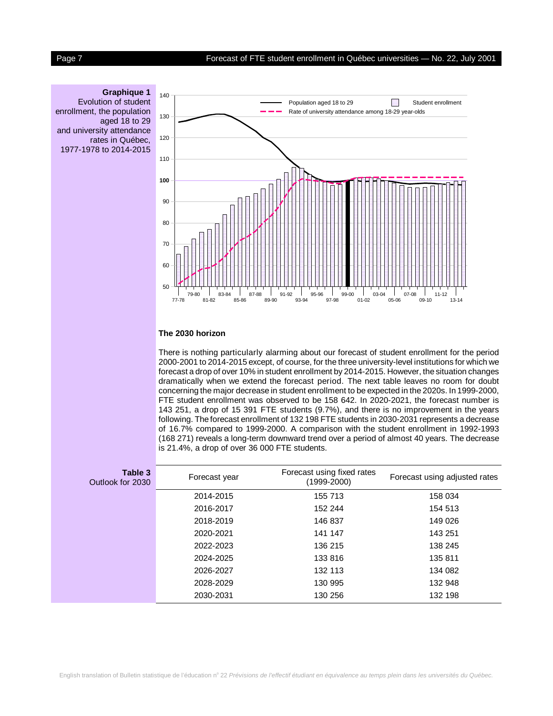# <span id="page-6-0"></span>Page 7 Forecast of FTE student enrollment in Québec universities - No. 22, July 2001

# **Graphique 1**

Evolution of student enrollment, the population aged 18 to 29 and university attendance rates in Québec,

1977-1978 to 2014-2015



# **The 2030 horizon**

There is nothing particularly alarming about our forecast of student enrollment for the period 2000-2001 to 2014-2015 except, of course, for the three university-level institutions for which we forecast a drop of over 10% in student enrollment by 2014-2015. However, the situation changes dramatically when we extend the forecast period. The next table leaves no room for doubt concerning the major decrease in student enrollment to be expected in the 2020s. In 1999-2000, FTE student enrollment was observed to be 158 642. In 2020-2021, the forecast number is 143 251, a drop of 15 391 FTE students (9.7%), and there is no improvement in the years following. The forecast enrollment of 132 198 FTE students in 2030-2031 represents a decrease of 16.7% compared to 1999-2000. A comparison with the student enrollment in 1992-1993 (168 271) reveals a long-term downward trend over a period of almost 40 years. The decrease is 21.4%, a drop of over 36 000 FTE students.

| Table 3<br>Outlook for 2030 | Forecast year | Forecast using fixed rates<br>$(1999-2000)$ | Forecast using adjusted rates |
|-----------------------------|---------------|---------------------------------------------|-------------------------------|
|                             | 2014-2015     | 155 713                                     | 158 034                       |
|                             | 2016-2017     | 152 244                                     | 154 513                       |
|                             | 2018-2019     | 146 837                                     | 149 026                       |
|                             | 2020-2021     | 141 147                                     | 143 251                       |
|                             | 2022-2023     | 136 215                                     | 138 245                       |
|                             | 2024-2025     | 133 816                                     | 135 811                       |
|                             | 2026-2027     | 132 113                                     | 134 082                       |
|                             | 2028-2029     | 130 995                                     | 132 948                       |
|                             | 2030-2031     | 130 256                                     | 132 198                       |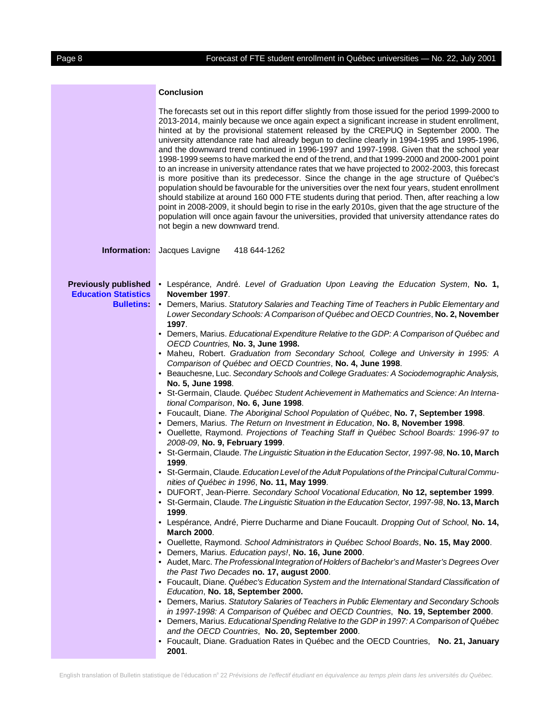# **Conclusion**

|                                                                                | The forecasts set out in this report differ slightly from those issued for the period 1999-2000 to<br>2013-2014, mainly because we once again expect a significant increase in student enrollment,<br>hinted at by the provisional statement released by the CREPUQ in September 2000. The<br>university attendance rate had already begun to decline clearly in 1994-1995 and 1995-1996,<br>and the downward trend continued in 1996-1997 and 1997-1998. Given that the school year<br>1998-1999 seems to have marked the end of the trend, and that 1999-2000 and 2000-2001 point<br>to an increase in university attendance rates that we have projected to 2002-2003, this forecast<br>is more positive than its predecessor. Since the change in the age structure of Québec's<br>population should be favourable for the universities over the next four years, student enrollment<br>should stabilize at around 160 000 FTE students during that period. Then, after reaching a low<br>point in 2008-2009, it should begin to rise in the early 2010s, given that the age structure of the<br>population will once again favour the universities, provided that university attendance rates do<br>not begin a new downward trend. |  |  |  |  |  |  |  |  |
|--------------------------------------------------------------------------------|------------------------------------------------------------------------------------------------------------------------------------------------------------------------------------------------------------------------------------------------------------------------------------------------------------------------------------------------------------------------------------------------------------------------------------------------------------------------------------------------------------------------------------------------------------------------------------------------------------------------------------------------------------------------------------------------------------------------------------------------------------------------------------------------------------------------------------------------------------------------------------------------------------------------------------------------------------------------------------------------------------------------------------------------------------------------------------------------------------------------------------------------------------------------------------------------------------------------------------------|--|--|--|--|--|--|--|--|
| Information:                                                                   | Jacques Lavigne<br>418 644-1262                                                                                                                                                                                                                                                                                                                                                                                                                                                                                                                                                                                                                                                                                                                                                                                                                                                                                                                                                                                                                                                                                                                                                                                                          |  |  |  |  |  |  |  |  |
| <b>Previously published</b><br><b>Education Statistics</b><br><b>Bulletins</b> | . Lespérance, André. Level of Graduation Upon Leaving the Education System, No. 1,<br>November 1997.<br>• Demers, Marius. Statutory Salaries and Teaching Time of Teachers in Public Elementary and<br>Lower Secondary Schools: A Comparison of Québec and OECD Countries, No. 2, November                                                                                                                                                                                                                                                                                                                                                                                                                                                                                                                                                                                                                                                                                                                                                                                                                                                                                                                                               |  |  |  |  |  |  |  |  |
|                                                                                | 1997.<br>• Demers, Marius. Educational Expenditure Relative to the GDP: A Comparison of Québec and                                                                                                                                                                                                                                                                                                                                                                                                                                                                                                                                                                                                                                                                                                                                                                                                                                                                                                                                                                                                                                                                                                                                       |  |  |  |  |  |  |  |  |
|                                                                                | OECD Countries, No. 3, June 1998.                                                                                                                                                                                                                                                                                                                                                                                                                                                                                                                                                                                                                                                                                                                                                                                                                                                                                                                                                                                                                                                                                                                                                                                                        |  |  |  |  |  |  |  |  |
|                                                                                | • Maheu, Robert. Graduation from Secondary School, College and University in 1995: A<br>Comparison of Québec and OECD Countries, No. 4, June 1998.                                                                                                                                                                                                                                                                                                                                                                                                                                                                                                                                                                                                                                                                                                                                                                                                                                                                                                                                                                                                                                                                                       |  |  |  |  |  |  |  |  |
|                                                                                | • Beauchesne, Luc. Secondary Schools and College Graduates: A Sociodemographic Analysis,<br>No. 5, June 1998.                                                                                                                                                                                                                                                                                                                                                                                                                                                                                                                                                                                                                                                                                                                                                                                                                                                                                                                                                                                                                                                                                                                            |  |  |  |  |  |  |  |  |
|                                                                                | • St-Germain, Claude. Québec Student Achievement in Mathematics and Science: An Interna-                                                                                                                                                                                                                                                                                                                                                                                                                                                                                                                                                                                                                                                                                                                                                                                                                                                                                                                                                                                                                                                                                                                                                 |  |  |  |  |  |  |  |  |
|                                                                                | tional Comparison, No. 6, June 1998.<br>• Foucault, Diane. The Aboriginal School Population of Québec, No. 7, September 1998.                                                                                                                                                                                                                                                                                                                                                                                                                                                                                                                                                                                                                                                                                                                                                                                                                                                                                                                                                                                                                                                                                                            |  |  |  |  |  |  |  |  |
|                                                                                | • Demers, Marius. The Return on Investment in Education, No. 8, November 1998.<br>· Ouellette, Raymond. Projections of Teaching Staff in Québec School Boards: 1996-97 to                                                                                                                                                                                                                                                                                                                                                                                                                                                                                                                                                                                                                                                                                                                                                                                                                                                                                                                                                                                                                                                                |  |  |  |  |  |  |  |  |
|                                                                                | 2008-09, No. 9, February 1999.                                                                                                                                                                                                                                                                                                                                                                                                                                                                                                                                                                                                                                                                                                                                                                                                                                                                                                                                                                                                                                                                                                                                                                                                           |  |  |  |  |  |  |  |  |
|                                                                                | • St-Germain, Claude. The Linguistic Situation in the Education Sector, 1997-98, No. 10, March<br>1999.                                                                                                                                                                                                                                                                                                                                                                                                                                                                                                                                                                                                                                                                                                                                                                                                                                                                                                                                                                                                                                                                                                                                  |  |  |  |  |  |  |  |  |
|                                                                                | • St-Germain, Claude. Education Level of the Adult Populations of the Principal Cultural Commu-                                                                                                                                                                                                                                                                                                                                                                                                                                                                                                                                                                                                                                                                                                                                                                                                                                                                                                                                                                                                                                                                                                                                          |  |  |  |  |  |  |  |  |
|                                                                                | nities of Québec in 1996, No. 11, May 1999.<br>• DUFORT, Jean-Pierre. Secondary School Vocational Education, No 12, september 1999.                                                                                                                                                                                                                                                                                                                                                                                                                                                                                                                                                                                                                                                                                                                                                                                                                                                                                                                                                                                                                                                                                                      |  |  |  |  |  |  |  |  |
|                                                                                | • St-Germain, Claude. The Linguistic Situation in the Education Sector, 1997-98, No. 13, March<br>1999.                                                                                                                                                                                                                                                                                                                                                                                                                                                                                                                                                                                                                                                                                                                                                                                                                                                                                                                                                                                                                                                                                                                                  |  |  |  |  |  |  |  |  |
|                                                                                | • Lespérance, André, Pierre Ducharme and Diane Foucault. Dropping Out of School, No. 14,<br><b>March 2000.</b>                                                                                                                                                                                                                                                                                                                                                                                                                                                                                                                                                                                                                                                                                                                                                                                                                                                                                                                                                                                                                                                                                                                           |  |  |  |  |  |  |  |  |
|                                                                                | . Ouellette, Raymond. School Administrators in Québec School Boards, No. 15, May 2000.                                                                                                                                                                                                                                                                                                                                                                                                                                                                                                                                                                                                                                                                                                                                                                                                                                                                                                                                                                                                                                                                                                                                                   |  |  |  |  |  |  |  |  |
|                                                                                | • Demers, Marius. Education pays!, No. 16, June 2000.                                                                                                                                                                                                                                                                                                                                                                                                                                                                                                                                                                                                                                                                                                                                                                                                                                                                                                                                                                                                                                                                                                                                                                                    |  |  |  |  |  |  |  |  |
|                                                                                | • Audet, Marc. The Professional Integration of Holders of Bachelor's and Master's Degrees Over<br>the Past Two Decades no. 17, august 2000.                                                                                                                                                                                                                                                                                                                                                                                                                                                                                                                                                                                                                                                                                                                                                                                                                                                                                                                                                                                                                                                                                              |  |  |  |  |  |  |  |  |
|                                                                                | • Foucault, Diane. Québec's Education System and the International Standard Classification of                                                                                                                                                                                                                                                                                                                                                                                                                                                                                                                                                                                                                                                                                                                                                                                                                                                                                                                                                                                                                                                                                                                                            |  |  |  |  |  |  |  |  |
|                                                                                | Education, No. 18, September 2000.<br>• Demers, Marius. Statutory Salaries of Teachers in Public Elementary and Secondary Schools                                                                                                                                                                                                                                                                                                                                                                                                                                                                                                                                                                                                                                                                                                                                                                                                                                                                                                                                                                                                                                                                                                        |  |  |  |  |  |  |  |  |
|                                                                                | in 1997-1998: A Comparison of Québec and OECD Countries, No. 19, September 2000.                                                                                                                                                                                                                                                                                                                                                                                                                                                                                                                                                                                                                                                                                                                                                                                                                                                                                                                                                                                                                                                                                                                                                         |  |  |  |  |  |  |  |  |
|                                                                                | • Demers, Marius. Educational Spending Relative to the GDP in 1997: A Comparison of Québec                                                                                                                                                                                                                                                                                                                                                                                                                                                                                                                                                                                                                                                                                                                                                                                                                                                                                                                                                                                                                                                                                                                                               |  |  |  |  |  |  |  |  |
|                                                                                | and the OECD Countries, No. 20, September 2000.<br>• Foucault, Diane. Graduation Rates in Québec and the OECD Countries, No. 21, January                                                                                                                                                                                                                                                                                                                                                                                                                                                                                                                                                                                                                                                                                                                                                                                                                                                                                                                                                                                                                                                                                                 |  |  |  |  |  |  |  |  |
|                                                                                | 2001.                                                                                                                                                                                                                                                                                                                                                                                                                                                                                                                                                                                                                                                                                                                                                                                                                                                                                                                                                                                                                                                                                                                                                                                                                                    |  |  |  |  |  |  |  |  |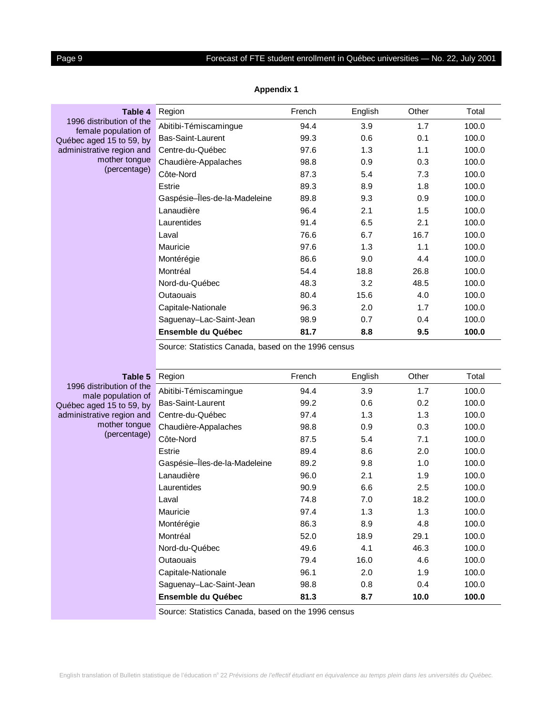# <span id="page-8-0"></span>Page 9 **Forecast of FTE student enrollment in Québec universities — No. 22, July 2001**

| Table 4                                               | Region                        | French | English | Other | Total |
|-------------------------------------------------------|-------------------------------|--------|---------|-------|-------|
| 1996 distribution of the<br>female population of      | Abitibi-Témiscamingue         | 94.4   | 3.9     | 1.7   | 100.0 |
| Québec aged 15 to 59, by<br>administrative region and | Bas-Saint-Laurent             | 99.3   | 0.6     | 0.1   | 100.0 |
|                                                       | Centre-du-Québec              | 97.6   | 1.3     | 1.1   | 100.0 |
| mother tongue                                         | Chaudière-Appalaches          | 98.8   | 0.9     | 0.3   | 100.0 |
| (percentage)                                          | Côte-Nord                     | 87.3   | 5.4     | 7.3   | 100.0 |
|                                                       | Estrie                        | 89.3   | 8.9     | 1.8   | 100.0 |
|                                                       | Gaspésie-Îles-de-la-Madeleine | 89.8   | 9.3     | 0.9   | 100.0 |
|                                                       | Lanaudière                    | 96.4   | 2.1     | 1.5   | 100.0 |
|                                                       | Laurentides                   | 91.4   | 6.5     | 2.1   | 100.0 |
|                                                       | Laval                         | 76.6   | 6.7     | 16.7  | 100.0 |
|                                                       | Mauricie                      | 97.6   | 1.3     | 1.1   | 100.0 |
|                                                       | Montérégie                    | 86.6   | 9.0     | 4.4   | 100.0 |
|                                                       | Montréal                      | 54.4   | 18.8    | 26.8  | 100.0 |
|                                                       | Nord-du-Québec                | 48.3   | 3.2     | 48.5  | 100.0 |
|                                                       | Outaouais                     | 80.4   | 15.6    | 4.0   | 100.0 |
|                                                       | Capitale-Nationale            | 96.3   | 2.0     | 1.7   | 100.0 |
|                                                       | Saguenay-Lac-Saint-Jean       | 98.9   | 0.7     | 0.4   | 100.0 |
|                                                       | Ensemble du Québec            | 81.7   | 8.8     | 9.5   | 100.0 |

**Appendix 1**

Source: Statistics Canada, based on the 1996 census

**Table 5** 1996 distribution of the male population of Québec aged 15 to 59, by administrative region and mother tongue (percentage)

| Region                        | French | English | Other | Total |
|-------------------------------|--------|---------|-------|-------|
| Abitibi-Témiscamingue         | 94.4   | 3.9     | 1.7   | 100.0 |
| Bas-Saint-Laurent             | 99.2   | 0.6     | 0.2   | 100.0 |
| Centre-du-Québec              | 97.4   | 1.3     | 1.3   | 100.0 |
| Chaudière-Appalaches          | 98.8   | 0.9     | 0.3   | 100.0 |
| Côte-Nord                     | 87.5   | 5.4     | 7.1   | 100.0 |
| Estrie                        | 89.4   | 8.6     | 2.0   | 100.0 |
| Gaspésie-Îles-de-la-Madeleine | 89.2   | 9.8     | 1.0   | 100.0 |
| Lanaudière                    | 96.0   | 2.1     | 1.9   | 100.0 |
| Laurentides                   | 90.9   | 6.6     | 2.5   | 100.0 |
| Laval                         | 74.8   | 7.0     | 18.2  | 100.0 |
| Mauricie                      | 97.4   | 1.3     | 1.3   | 100.0 |
| Montérégie                    | 86.3   | 8.9     | 4.8   | 100.0 |
| Montréal                      | 52.0   | 18.9    | 29.1  | 100.0 |
| Nord-du-Québec                | 49.6   | 4.1     | 46.3  | 100.0 |
| Outaouais                     | 79.4   | 16.0    | 4.6   | 100.0 |
| Capitale-Nationale            | 96.1   | 2.0     | 1.9   | 100.0 |
| Saguenay-Lac-Saint-Jean       | 98.8   | 0.8     | 0.4   | 100.0 |
| <b>Ensemble du Québec</b>     | 81.3   | 8.7     | 10.0  | 100.0 |

Source: Statistics Canada, based on the 1996 census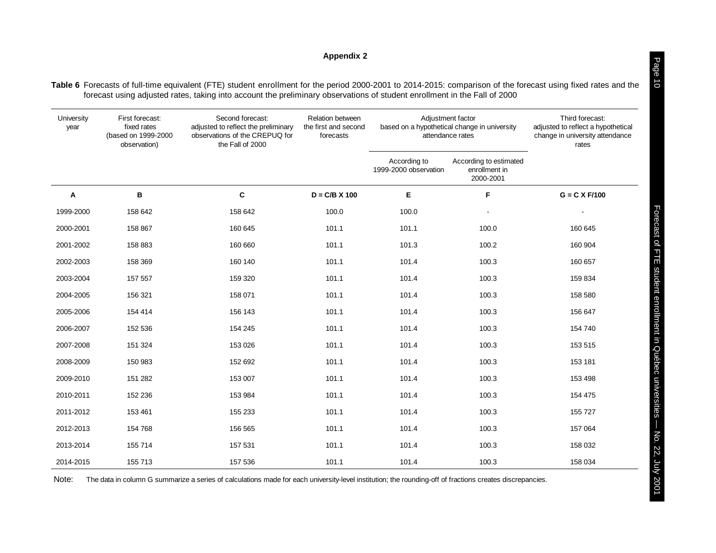# **Appendix 2**

<span id="page-9-0"></span>**Table 6** Forecasts of full-time equivalent (FTE) student enrollment for the period 2000-2001 to 2014-2015: comparison of the forecast using fixed rates and the forecast using adjusted rates, taking into account the preliminary observations of student enrollment in the Fall of 2000

| University<br>year | First forecast:<br>fixed rates<br>(based on 1999-2000<br>observation) | Second forecast:<br>adjusted to reflect the preliminary<br>observations of the CREPUQ for<br>the Fall of 2000 | Relation between<br>the first and second<br>forecasts |                                       | Adjustment factor<br>based on a hypothetical change in university<br>attendance rates | Third forecast:<br>adjusted to reflect a hypothetical<br>change in university attendance<br>rates |
|--------------------|-----------------------------------------------------------------------|---------------------------------------------------------------------------------------------------------------|-------------------------------------------------------|---------------------------------------|---------------------------------------------------------------------------------------|---------------------------------------------------------------------------------------------------|
|                    |                                                                       |                                                                                                               |                                                       | According to<br>1999-2000 observation | According to estimated<br>enrollment in<br>2000-2001                                  |                                                                                                   |
| A                  | в                                                                     | $\mathbf c$                                                                                                   | $D = C/B \times 100$                                  | Е                                     | F                                                                                     | $G = C X F/100$                                                                                   |
| 1999-2000          | 158 642                                                               | 158 642                                                                                                       | 100.0                                                 | 100.0                                 |                                                                                       |                                                                                                   |
| 2000-2001          | 158 867                                                               | 160 645                                                                                                       | 101.1                                                 | 101.1                                 | 100.0                                                                                 | 160 645                                                                                           |
| 2001-2002          | 158 883                                                               | 160 660                                                                                                       | 101.1                                                 | 101.3                                 | 100.2                                                                                 | 160 904                                                                                           |
| 2002-2003          | 158 369                                                               | 160 140                                                                                                       | 101.1                                                 | 101.4                                 | 100.3                                                                                 | 160 657                                                                                           |
| 2003-2004          | 157 557                                                               | 159 320                                                                                                       | 101.1                                                 | 101.4                                 | 100.3                                                                                 | 159 834                                                                                           |
| 2004-2005          | 156 321                                                               | 158 071                                                                                                       | 101.1                                                 | 101.4                                 | 100.3                                                                                 | 158 580                                                                                           |
| 2005-2006          | 154 414                                                               | 156 143                                                                                                       | 101.1                                                 | 101.4                                 | 100.3                                                                                 | 156 647                                                                                           |
| 2006-2007          | 152 536                                                               | 154 245                                                                                                       | 101.1                                                 | 101.4                                 | 100.3                                                                                 | 154 740                                                                                           |
| 2007-2008          | 151 324                                                               | 153 026                                                                                                       | 101.1                                                 | 101.4                                 | 100.3                                                                                 | 153 515                                                                                           |
| 2008-2009          | 150 983                                                               | 152 692                                                                                                       | 101.1                                                 | 101.4                                 | 100.3                                                                                 | 153 181                                                                                           |
| 2009-2010          | 151 282                                                               | 153 007                                                                                                       | 101.1                                                 | 101.4                                 | 100.3                                                                                 | 153 498                                                                                           |
| 2010-2011          | 152 236                                                               | 153 984                                                                                                       | 101.1                                                 | 101.4                                 | 100.3                                                                                 | 154 475                                                                                           |
| 2011-2012          | 153 461                                                               | 155 233                                                                                                       | 101.1                                                 | 101.4                                 | 100.3                                                                                 | 155 727                                                                                           |
| 2012-2013          | 154 768                                                               | 156 565                                                                                                       | 101.1                                                 | 101.4                                 | 100.3                                                                                 | 157 064                                                                                           |
| 2013-2014          | 155 714                                                               | 157 531                                                                                                       | 101.1                                                 | 101.4                                 | 100.3                                                                                 | 158 032                                                                                           |
| 2014-2015          | 155 713                                                               | 157 536                                                                                                       | 101.1                                                 | 101.4                                 | 100.3                                                                                 | 158 034                                                                                           |

Note:The data in column G summarize a series of calculations made for each university-level institution; the rounding-off of fractions creates discrepancies. Page 10